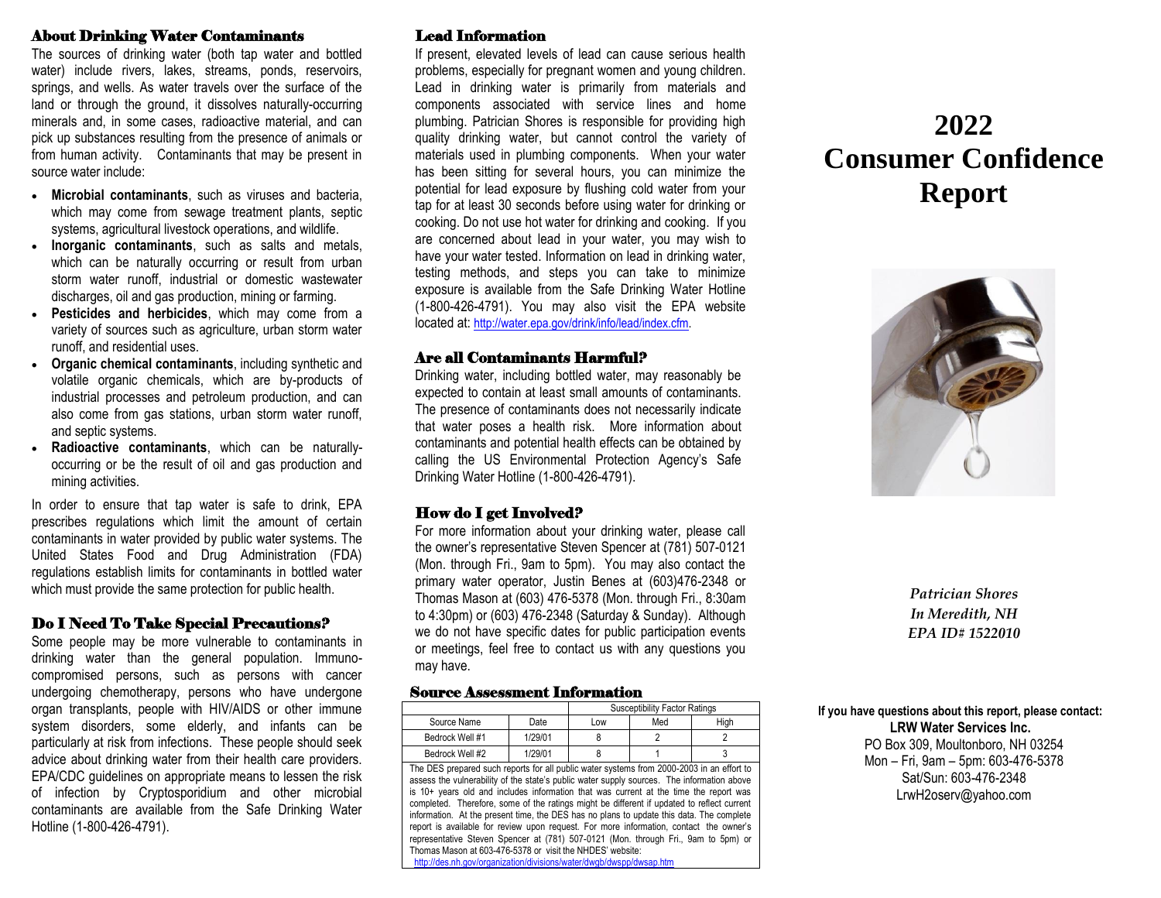### About Drinking Water Contaminants

The sources of drinking water (both tap water and bottled water) include rivers, lakes, streams, ponds, reservoirs, springs, and wells. As water travels over the surface of the land or through the ground, it dissolves naturally-occurring minerals and, in some cases, radioactive material, and can pick up substances resulting from the presence of animals or from human activity. Contaminants that may be present in source water include:

- **Microbial contaminants**, such as viruses and bacteria, which may come from sewage treatment plants, septic systems, agricultural livestock operations, and wildlife.
- **Inorganic contaminants**, such as salts and metals, which can be naturally occurring or result from urban storm water runoff, industrial or domestic wastewater discharges, oil and gas production, mining or farming.
- **Pesticides and herbicides**, which may come from a variety of sources such as agriculture, urban storm water runoff, and residential uses.
- **Organic chemical contaminants**, including synthetic and volatile organic chemicals, which are by-products of industrial processes and petroleum production, and can also come from gas stations, urban storm water runoff, and septic systems.
- **Radioactive contaminants**, which can be naturallyoccurring or be the result of oil and gas production and mining activities.

In order to ensure that tap water is safe to drink, EPA prescribes regulations which limit the amount of certain contaminants in water provided by public water systems. The United States Food and Drug Administration (FDA) regulations establish limits for contaminants in bottled water which must provide the same protection for public health.

### Do I Need To Take Special Precautions?

Some people may be more vulnerable to contaminants in drinking water than the general population. Immunocompromised persons, such as persons with cancer undergoing chemotherapy, persons who have undergone organ transplants, people with HIV/AIDS or other immune system disorders, some elderly, and infants can be particularly at risk from infections. These people should seek advice about drinking water from their health care providers. EPA/CDC guidelines on appropriate means to lessen the risk of infection by Cryptosporidium and other microbial contaminants are available from the Safe Drinking Water Hotline (1-800-426-4791).

## Lead Information

If present, elevated levels of lead can cause serious health problems, especially for pregnant women and young children. Lead in drinking water is primarily from materials and components associated with service lines and home plumbing. Patrician Shores is responsible for providing high quality drinking water, but cannot control the variety of materials used in plumbing components. When your water has been sitting for several hours, you can minimize the potential for lead exposure by flushing cold water from your tap for at least 30 seconds before using water for drinking or cooking. Do not use hot water for drinking and cooking. If you are concerned about lead in your water, you may wish to have your water tested. Information on lead in drinking water, testing methods, and steps you can take to minimize exposure is available from the Safe Drinking Water Hotline (1-800-426-4791). You may also visit the EPA website located at: [http://water.epa.gov/drink/info/lead/index.cfm.](http://water.epa.gov/drink/info/lead/index.cfm)

### Are all Contaminants Harmful?

Drinking water, including bottled water, may reasonably be expected to contain at least small amounts of contaminants. The presence of contaminants does not necessarily indicate that water poses a health risk. More information about contaminants and potential health effects can be obtained by calling the US Environmental Protection Agency's Safe Drinking Water Hotline (1-800-426-4791).

# How do I get Involved?

For more information about your drinking water, please call the owner's representative Steven Spencer at (781) 507-0121 (Mon. through Fri., 9am to 5pm). You may also contact the primary water operator, Justin Benes at (603)476-2348 or Thomas Mason at (603) 476-5378 (Mon. through Fri., 8:30am to 4:30pm) or (603) 476-2348 (Saturday & Sunday). Although we do not have specific dates for public participation events or meetings, feel free to contact us with any questions you may have.

### Source Assessment Information

|                 |         |     | <b>Susceptibility Factor Ratings</b> |      |
|-----------------|---------|-----|--------------------------------------|------|
| Source Name     | Date    | Low | Med                                  | Hiah |
| Bedrock Well #1 | 1/29/01 |     |                                      |      |
| Bedrock Well #2 | 1/29/01 |     |                                      |      |

The DES prepared such reports for all public water systems from 2000-2003 in an effort to assess the vulnerability of the state's public water supply sources. The information above is 10+ years old and includes information that was current at the time the report was completed. Therefore, some of the ratings might be different if updated to reflect current information. At the present time, the DES has no plans to update this data. The complete report is available for review upon request. For more information, contact the owner's representative Steven Spencer at (781) 507-0121 (Mon. through Fri., 9am to 5pm) or Thomas Mason at 603-476-5378 or visit the NHDES' website: http://des.nh.gov/organization/divisions/water/dwgb/dwspp/dws

# **2022 Consumer Confidence Report**



*Patrician Shores In Meredith, NH EPA ID# 1522010*

**If you have questions about this report, please contact: LRW Water Services Inc.** PO Box 309, Moultonboro, NH 03254 Mon – Fri, 9am – 5pm: 603-476-5378 Sat/Sun: 603-476-2348 LrwH2oserv@yahoo.com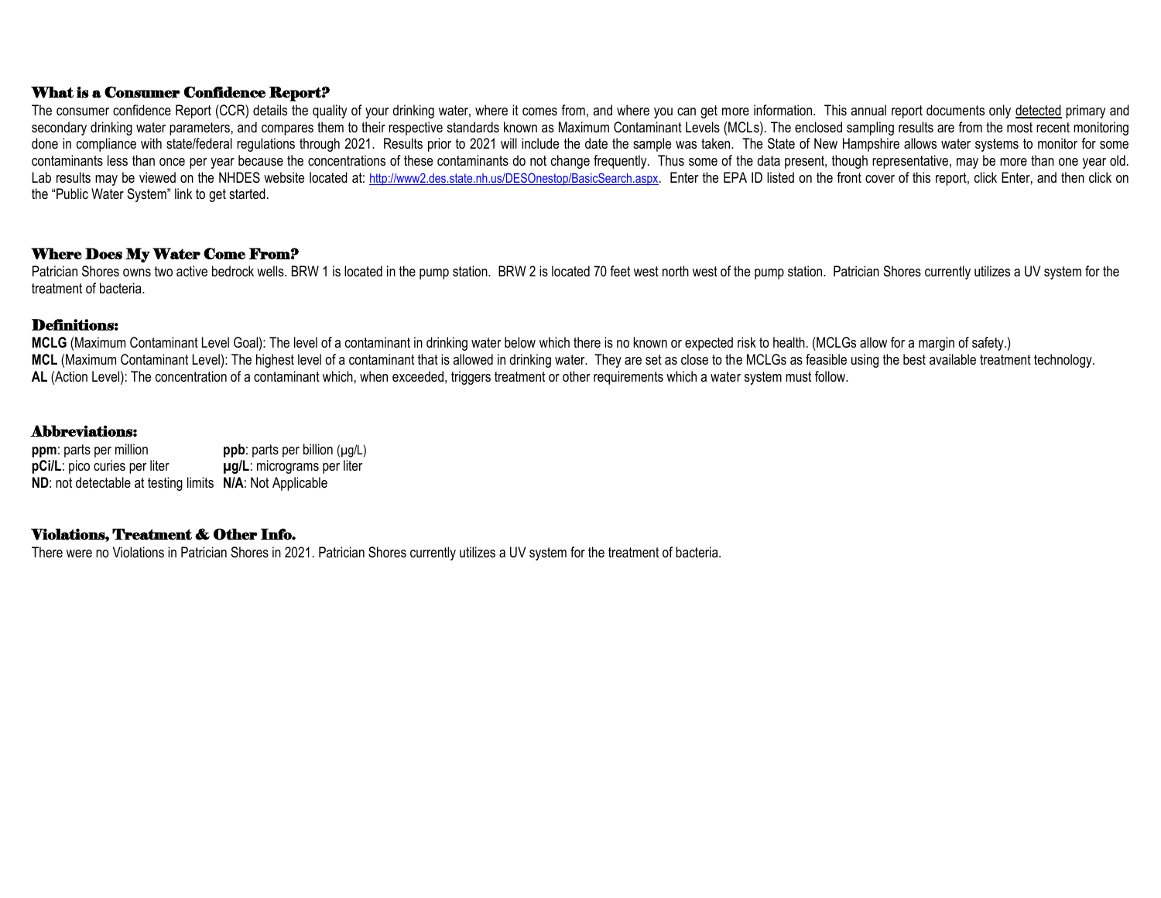## What is a Consumer Confidence Report?

The consumer confidence Report (CCR) details the quality of your drinking water, where it comes from, and where you can get more information. This annual report documents only detected primary and secondary drinking water parameters, and compares them to their respective standards known as Maximum Contaminant Levels (MCLs). The enclosed sampling results are from the most recent monitoring done in compliance with state/federal regulations through 2021. Results prior to 2021 will include the date the sample was taken. The State of New Hampshire allows water systems to monitor for some contaminants less than once per year because the concentrations of these contaminants do not change frequently. Thus some of the data present, though representative, may be more than one year old. Lab results may be viewed on the NHDES website located at: <http://www2.des.state.nh.us/DESOnestop/BasicSearch.aspx>. Enter the EPA ID listed on the front cover of this report, click Enter, and then click on the "Public Water System" link to get started.

### Where Does My Water Come From?

Patrician Shores owns two active bedrock wells. BRW 1 is located in the pump station. BRW 2 is located 70 feet west north west of the pump station. Patrician Shores currently utilizes a UV system for the treatment of bacteria.

### Definitions:

**MCLG** (Maximum Contaminant Level Goal): The level of a contaminant in drinking water below which there is no known or expected risk to health. (MCLGs allow for a margin of safety.) **MCL** (Maximum Contaminant Level): The highest level of a contaminant that is allowed in drinking water. They are set as close to the MCLGs as feasible using the best available treatment technology. **AL** (Action Level): The concentration of a contaminant which, when exceeded, triggers treatment or other requirements which a water system must follow.

### Abbreviations:

**ppm**: parts per million **ppb**: parts per billion ( $\mu$ g/L) **pCi/L**: pico curies per liter **µg/L**: micrograms per liter **ND**: not detectable at testing limits **N/A**: Not Applicable

### Violations, Treatment & Other Info.

There were no Violations in Patrician Shores in 2021. Patrician Shores currently utilizes a UV system for the treatment of bacteria.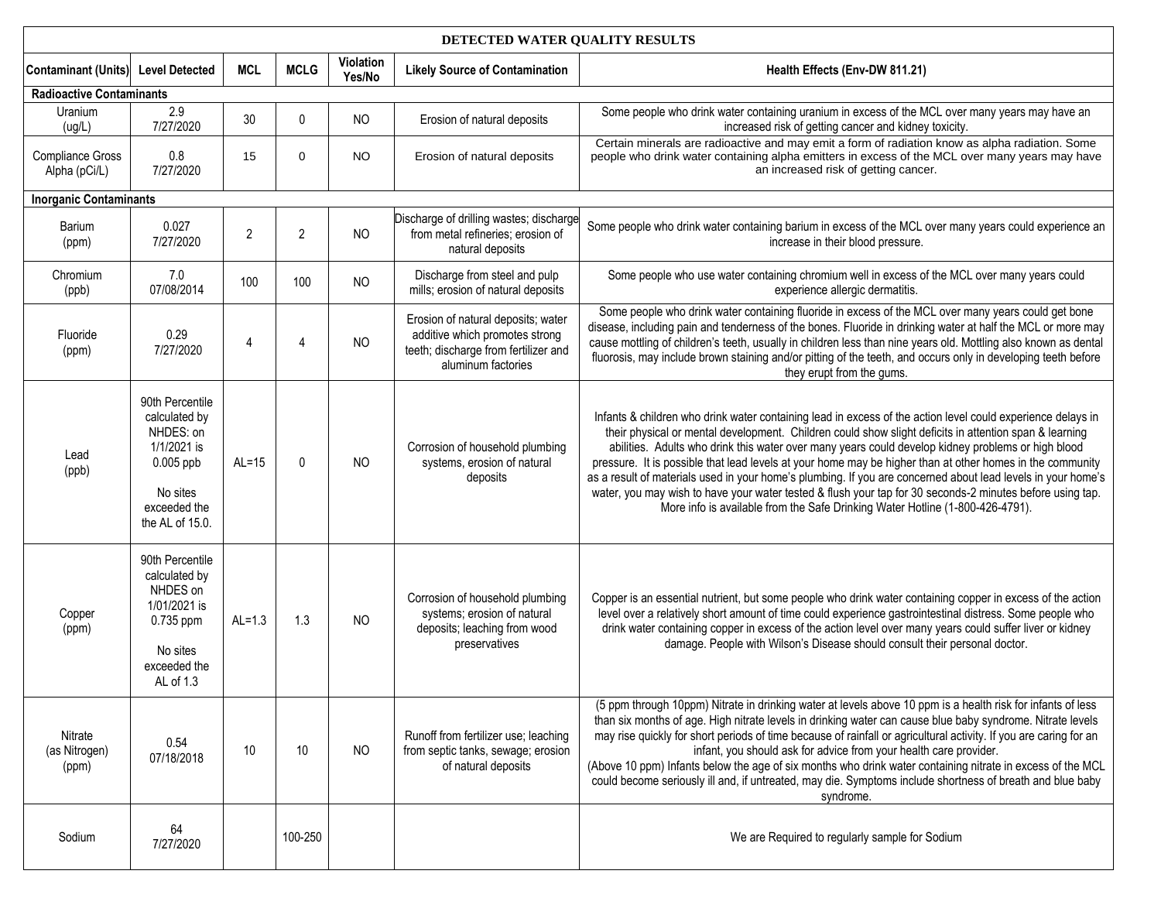| DETECTED WATER QUALITY RESULTS           |                                                                                                                            |                |                |                     |                                                                                                                                    |                                                                                                                                                                                                                                                                                                                                                                                                                                                                                                                                                                                                                                                                                                                                                        |
|------------------------------------------|----------------------------------------------------------------------------------------------------------------------------|----------------|----------------|---------------------|------------------------------------------------------------------------------------------------------------------------------------|--------------------------------------------------------------------------------------------------------------------------------------------------------------------------------------------------------------------------------------------------------------------------------------------------------------------------------------------------------------------------------------------------------------------------------------------------------------------------------------------------------------------------------------------------------------------------------------------------------------------------------------------------------------------------------------------------------------------------------------------------------|
| <b>Contaminant (Units)</b>               | <b>Level Detected</b>                                                                                                      | <b>MCL</b>     | <b>MCLG</b>    | Violation<br>Yes/No | <b>Likely Source of Contamination</b>                                                                                              | Health Effects (Env-DW 811.21)                                                                                                                                                                                                                                                                                                                                                                                                                                                                                                                                                                                                                                                                                                                         |
| <b>Radioactive Contaminants</b>          |                                                                                                                            |                |                |                     |                                                                                                                                    |                                                                                                                                                                                                                                                                                                                                                                                                                                                                                                                                                                                                                                                                                                                                                        |
| Uranium<br>(ug/L)                        | 2.9<br>7/27/2020                                                                                                           | 30             | 0              | N <sub>O</sub>      | Erosion of natural deposits                                                                                                        | Some people who drink water containing uranium in excess of the MCL over many years may have an<br>increased risk of getting cancer and kidney toxicity.                                                                                                                                                                                                                                                                                                                                                                                                                                                                                                                                                                                               |
| <b>Compliance Gross</b><br>Alpha (pCi/L) | 0.8<br>7/27/2020                                                                                                           | 15             | 0              | NO.                 | Erosion of natural deposits                                                                                                        | Certain minerals are radioactive and may emit a form of radiation know as alpha radiation. Some<br>people who drink water containing alpha emitters in excess of the MCL over many years may have<br>an increased risk of getting cancer.                                                                                                                                                                                                                                                                                                                                                                                                                                                                                                              |
| <b>Inorganic Contaminants</b>            |                                                                                                                            |                |                |                     |                                                                                                                                    |                                                                                                                                                                                                                                                                                                                                                                                                                                                                                                                                                                                                                                                                                                                                                        |
| Barium<br>(ppm)                          | 0.027<br>7/27/2020                                                                                                         | $\overline{2}$ | $\overline{c}$ | <b>NO</b>           | Discharge of drilling wastes; discharge<br>from metal refineries; erosion of<br>natural deposits                                   | Some people who drink water containing barium in excess of the MCL over many years could experience an<br>increase in their blood pressure.                                                                                                                                                                                                                                                                                                                                                                                                                                                                                                                                                                                                            |
| Chromium<br>(ppb)                        | 7.0<br>07/08/2014                                                                                                          | 100            | 100            | <b>NO</b>           | Discharge from steel and pulp<br>mills; erosion of natural deposits                                                                | Some people who use water containing chromium well in excess of the MCL over many years could<br>experience allergic dermatitis.                                                                                                                                                                                                                                                                                                                                                                                                                                                                                                                                                                                                                       |
| Fluoride<br>(ppm)                        | 0.29<br>7/27/2020                                                                                                          | 4              | 4              | <b>NO</b>           | Erosion of natural deposits; water<br>additive which promotes strong<br>teeth; discharge from fertilizer and<br>aluminum factories | Some people who drink water containing fluoride in excess of the MCL over many years could get bone<br>disease, including pain and tenderness of the bones. Fluoride in drinking water at half the MCL or more may<br>cause mottling of children's teeth, usually in children less than nine years old. Mottling also known as dental<br>fluorosis, may include brown staining and/or pitting of the teeth, and occurs only in developing teeth before<br>they erupt from the gums.                                                                                                                                                                                                                                                                    |
| Lead<br>(ppb)                            | 90th Percentile<br>calculated by<br>NHDES: on<br>1/1/2021 is<br>$0.005$ ppb<br>No sites<br>exceeded the<br>the AL of 15.0. | $AL=15$        | $\mathbf{0}$   | N <sub>O</sub>      | Corrosion of household plumbing<br>systems, erosion of natural<br>deposits                                                         | Infants & children who drink water containing lead in excess of the action level could experience delays in<br>their physical or mental development. Children could show slight deficits in attention span & learning<br>abilities. Adults who drink this water over many years could develop kidney problems or high blood<br>pressure. It is possible that lead levels at your home may be higher than at other homes in the community<br>as a result of materials used in your home's plumbing. If you are concerned about lead levels in your home's<br>water, you may wish to have your water tested & flush your tap for 30 seconds-2 minutes before using tap.<br>More info is available from the Safe Drinking Water Hotline (1-800-426-4791). |
| Copper<br>(ppm)                          | 90th Percentile<br>calculated by<br>NHDES on<br>1/01/2021 is<br>0.735 ppm<br>No sites<br>exceeded the<br>AL of 1.3         | $AL=1.3$       | 1.3            | N <sub>O</sub>      | Corrosion of household plumbing<br>systems; erosion of natural<br>deposits; leaching from wood<br>preservatives                    | Copper is an essential nutrient, but some people who drink water containing copper in excess of the action<br>level over a relatively short amount of time could experience gastrointestinal distress. Some people who<br>drink water containing copper in excess of the action level over many years could suffer liver or kidney<br>damage. People with Wilson's Disease should consult their personal doctor.                                                                                                                                                                                                                                                                                                                                       |
| Nitrate<br>(as Nitrogen)<br>(ppm)        | 0.54<br>07/18/2018                                                                                                         | 10             | 10             | <b>NO</b>           | Runoff from fertilizer use; leaching<br>from septic tanks, sewage; erosion<br>of natural deposits                                  | (5 ppm through 10ppm) Nitrate in drinking water at levels above 10 ppm is a health risk for infants of less<br>than six months of age. High nitrate levels in drinking water can cause blue baby syndrome. Nitrate levels<br>may rise quickly for short periods of time because of rainfall or agricultural activity. If you are caring for an<br>infant, you should ask for advice from your health care provider.<br>(Above 10 ppm) Infants below the age of six months who drink water containing nitrate in excess of the MCL<br>could become seriously ill and, if untreated, may die. Symptoms include shortness of breath and blue baby<br>syndrome.                                                                                            |
| Sodium                                   | 64<br>7/27/2020                                                                                                            |                | 100-250        |                     |                                                                                                                                    | We are Required to regularly sample for Sodium                                                                                                                                                                                                                                                                                                                                                                                                                                                                                                                                                                                                                                                                                                         |